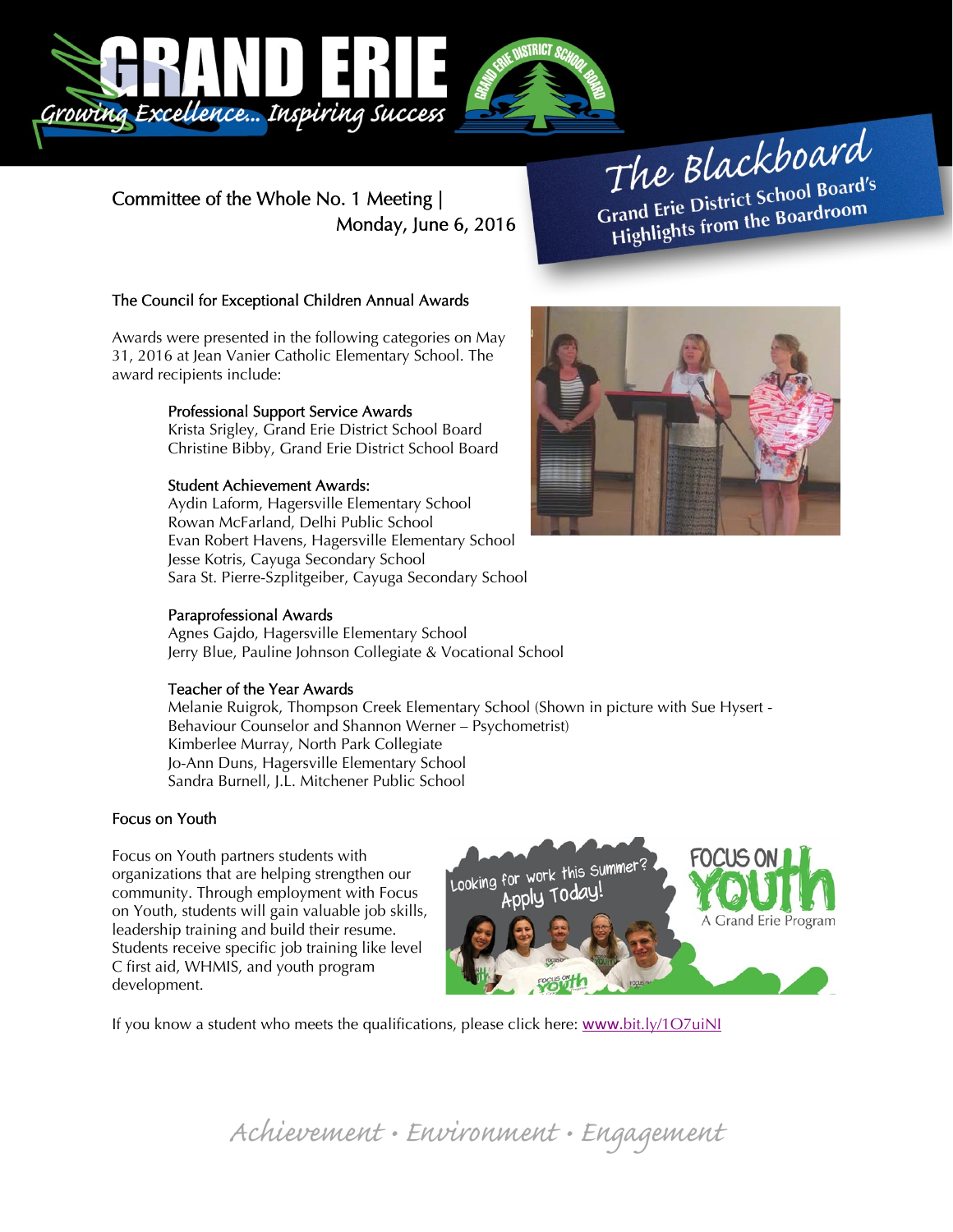

Committee of the Whole No. 1 Meeting | Monday, June 6, 2016

# The Blackboard The Burnor<br>Grand Erie District School Board's<br>Little from the Boardroom rand Erie District School Board<br>Highlights from the Boardroom

## The Council for Exceptional Children Annual Awards

Awards were presented in the following categories on May 31, 2016 at Jean Vanier Catholic Elementary School. The award recipients include:

## Professional Support Service Awards

Krista Srigley, Grand Erie District School Board Christine Bibby, Grand Erie District School Board

#### Student Achievement Awards:

Aydin Laform, Hagersville Elementary School Rowan McFarland, Delhi Public School Evan Robert Havens, Hagersville Elementary School Jesse Kotris, Cayuga Secondary School Sara St. Pierre-Szplitgeiber, Cayuga Secondary School

#### Paraprofessional Awards

Agnes Gajdo, Hagersville Elementary School Jerry Blue, Pauline Johnson Collegiate & Vocational School

#### Teacher of the Year Awards

Melanie Ruigrok, Thompson Creek Elementary School (Shown in picture with Sue Hysert - Behaviour Counselor and Shannon Werner – Psychometrist) Kimberlee Murray, North Park Collegiate Jo-Ann Duns, Hagersville Elementary School Sandra Burnell, J.L. Mitchener Public School

#### Focus on Youth

Focus on Youth partners students with organizations that are helping strengthen our community. Through employment with Focus on Youth, students will gain valuable job skills, leadership training and build their resume. Students receive specific job training like level C first aid, WHMIS, and youth program development.



If you know a student who meets the qualifications, please click here: www.bit.ly/1O7uiNI

Achievement • Environment • Engagement